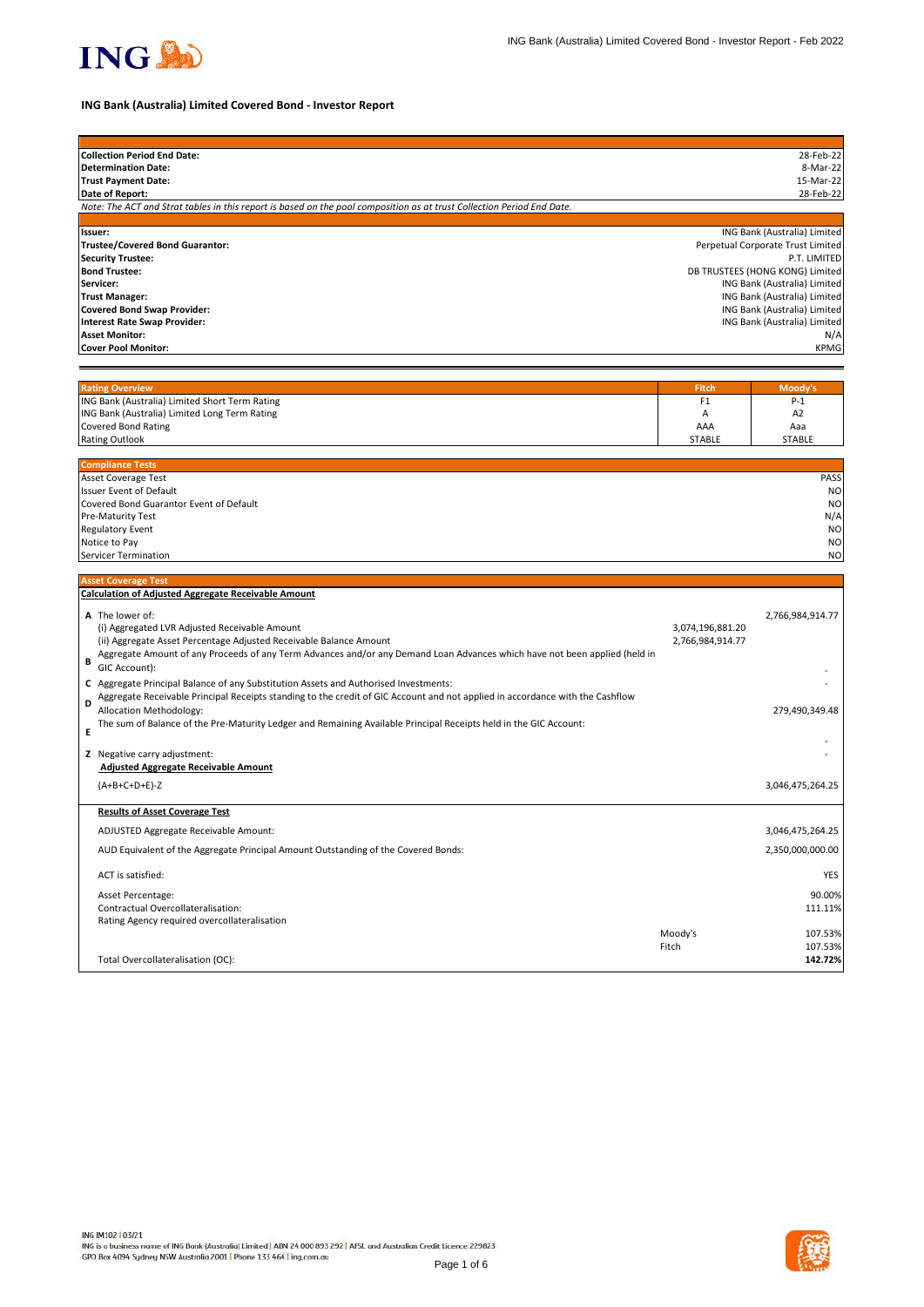

# **ING Bank (Australia) Limited Covered Bond - Investor Report**

| <b>Collection Period End Date:</b>                                                                                            |                      | 28-Feb-22                                                    |
|-------------------------------------------------------------------------------------------------------------------------------|----------------------|--------------------------------------------------------------|
| <b>Determination Date:</b>                                                                                                    |                      | 8-Mar-22                                                     |
| <b>Trust Payment Date:</b>                                                                                                    |                      | 15-Mar-22                                                    |
| Date of Report:                                                                                                               |                      | 28-Feb-22                                                    |
| Note: The ACT and Strat tables in this report is based on the pool composition as at trust Collection Period End Date.        |                      |                                                              |
| Issuer:                                                                                                                       |                      | ING Bank (Australia) Limited                                 |
| Trustee/Covered Bond Guarantor:                                                                                               |                      | Perpetual Corporate Trust Limited                            |
| <b>Security Trustee:</b>                                                                                                      |                      | P.T. LIMITED                                                 |
| <b>Bond Trustee:</b>                                                                                                          |                      | DB TRUSTEES (HONG KONG) Limited                              |
| Servicer:                                                                                                                     |                      | ING Bank (Australia) Limited                                 |
| <b>Trust Manager:</b>                                                                                                         |                      | ING Bank (Australia) Limited<br>ING Bank (Australia) Limited |
| <b>Covered Bond Swap Provider:</b><br><b>Interest Rate Swap Provider:</b>                                                     |                      | ING Bank (Australia) Limited                                 |
| <b>Asset Monitor:</b>                                                                                                         |                      | N/A                                                          |
| <b>Cover Pool Monitor:</b>                                                                                                    |                      | <b>KPMG</b>                                                  |
|                                                                                                                               |                      |                                                              |
|                                                                                                                               |                      |                                                              |
| <b>Rating Overview</b>                                                                                                        | <b>Fitch</b>         | Moody's                                                      |
| ING Bank (Australia) Limited Short Term Rating                                                                                | F <sub>1</sub>       | $P-1$                                                        |
| ING Bank (Australia) Limited Long Term Rating                                                                                 | Α                    | A <sub>2</sub>                                               |
| <b>Covered Bond Rating</b><br><b>Rating Outlook</b>                                                                           | AAA<br><b>STABLE</b> | Aaa<br><b>STABLE</b>                                         |
|                                                                                                                               |                      |                                                              |
| <b>Compliance Tests</b>                                                                                                       |                      |                                                              |
| Asset Coverage Test                                                                                                           |                      | PASS                                                         |
| Issuer Event of Default                                                                                                       |                      | N <sub>O</sub>                                               |
| Covered Bond Guarantor Event of Default                                                                                       |                      | N <sub>O</sub>                                               |
| Pre-Maturity Test                                                                                                             |                      | N/A                                                          |
| <b>Regulatory Event</b><br>Notice to Pay                                                                                      |                      | N <sub>O</sub><br>N <sub>O</sub>                             |
| <b>Servicer Termination</b>                                                                                                   |                      | N <sub>O</sub>                                               |
|                                                                                                                               |                      |                                                              |
| <b>Asset Coverage Test</b>                                                                                                    |                      |                                                              |
| <b>Calculation of Adjusted Aggregate Receivable Amount</b>                                                                    |                      |                                                              |
| A The lower of:                                                                                                               |                      | 2,766,984,914.77                                             |
| (i) Aggregated LVR Adjusted Receivable Amount                                                                                 | 3,074,196,881.20     |                                                              |
| (ii) Aggregate Asset Percentage Adjusted Receivable Balance Amount                                                            | 2,766,984,914.77     |                                                              |
| Aggregate Amount of any Proceeds of any Term Advances and/or any Demand Loan Advances which have not been applied (held in    |                      |                                                              |
| B<br>GIC Account):                                                                                                            |                      |                                                              |
| C Aggregate Principal Balance of any Substitution Assets and Authorised Investments:                                          |                      |                                                              |
| Aggregate Receivable Principal Receipts standing to the credit of GIC Account and not applied in accordance with the Cashflow |                      |                                                              |
| D<br>Allocation Methodology:                                                                                                  |                      | 279,490,349.48                                               |
| The sum of Balance of the Pre-Maturity Ledger and Remaining Available Principal Receipts held in the GIC Account:             |                      |                                                              |
| Е                                                                                                                             |                      |                                                              |
| Z Negative carry adjustment:                                                                                                  |                      |                                                              |
| <b>Adjusted Aggregate Receivable Amount</b>                                                                                   |                      |                                                              |
| $(A+B+C+D+E)-Z$                                                                                                               |                      | 3,046,475,264.25                                             |
|                                                                                                                               |                      |                                                              |
| <b>Results of Asset Coverage Test</b>                                                                                         |                      |                                                              |
| ADJUSTED Aggregate Receivable Amount:                                                                                         |                      | 3,046,475,264.25                                             |
| AUD Equivalent of the Aggregate Principal Amount Outstanding of the Covered Bonds:                                            |                      | 2,350,000,000.00                                             |
| ACT is satisfied:                                                                                                             |                      | YES                                                          |
| Asset Percentage:                                                                                                             |                      | 90.00%                                                       |
| Contractual Overcollateralisation:                                                                                            |                      | 111.11%                                                      |
| Rating Agency required overcollateralisation                                                                                  |                      |                                                              |
|                                                                                                                               | Moody's              | 107.53%                                                      |
|                                                                                                                               | Fitch                | 107.53%                                                      |
| Total Overcollateralisation (OC):                                                                                             |                      | 142.72%                                                      |

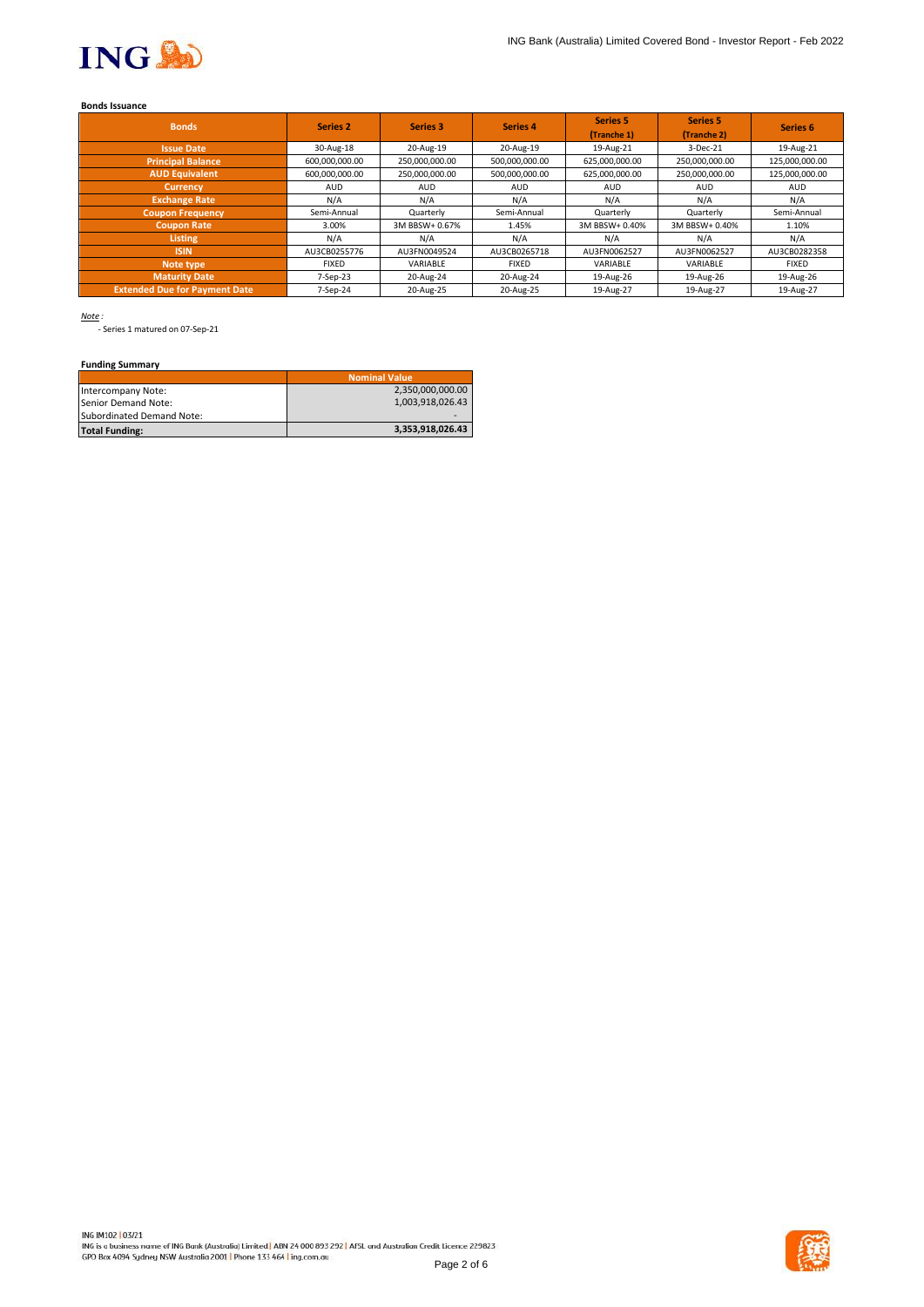

## **Bonds Issuance**

| <b>Bonds</b>                         | Series <sub>2</sub> | Series 3       | Series 4       | <b>Series 5</b><br>(Tranche 1) | <b>Series 5</b><br>(Tranche 2) | Series <sub>6</sub> |
|--------------------------------------|---------------------|----------------|----------------|--------------------------------|--------------------------------|---------------------|
| <b>Issue Date</b>                    | 30-Aug-18           | 20-Aug-19      | 20-Aug-19      | 19-Aug-21                      | 3-Dec-21                       | 19-Aug-21           |
| <b>Principal Balance</b>             | 600,000,000.00      | 250,000,000.00 | 500,000,000.00 | 625,000,000.00                 | 250,000,000.00                 | 125,000,000.00      |
| <b>AUD Equivalent</b>                | 600,000,000.00      | 250,000,000.00 | 500,000,000.00 | 625,000,000.00                 | 250,000,000.00                 | 125,000,000.00      |
| <b>Currency</b>                      | <b>AUD</b>          | <b>AUD</b>     | <b>AUD</b>     | <b>AUD</b>                     | <b>AUD</b>                     | <b>AUD</b>          |
| <b>Exchange Rate</b>                 | N/A                 | N/A            | N/A            | N/A                            | N/A                            | N/A                 |
| <b>Coupon Frequency</b>              | Semi-Annual         | Quarterly      | Semi-Annual    | Quarterly                      | Quarterly                      | Semi-Annual         |
| <b>Coupon Rate</b>                   | 3.00%               | 3M BBSW+ 0.67% | 1.45%          | 3M BBSW+ 0.40%                 | 3M BBSW+ 0.40%                 | 1.10%               |
| <b>Listing</b>                       | N/A                 | N/A            | N/A            | N/A                            | N/A                            | N/A                 |
| <b>ISIN</b>                          | AU3CB0255776        | AU3FN0049524   | AU3CB0265718   | AU3FN0062527                   | AU3FN0062527                   | AU3CB0282358        |
| Note type                            | <b>FIXED</b>        | VARIABLE       | <b>FIXED</b>   | VARIABLE                       | VARIABLE                       | <b>FIXED</b>        |
| <b>Maturity Date</b>                 | 7-Sep-23            | 20-Aug-24      | 20-Aug-24      | 19-Aug-26                      | 19-Aug-26                      | 19-Aug-26           |
| <b>Extended Due for Payment Date</b> | 7-Sep-24            | 20-Aug-25      | 20-Aug-25      | 19-Aug-27                      | 19-Aug-27                      | 19-Aug-27           |

*Note :*

- Series 1 matured on 07-Sep-21

# **Funding Summary**

|                           | <b>Nominal Value</b> |
|---------------------------|----------------------|
| Intercompany Note:        | 2,350,000,000.00     |
| Senior Demand Note:       | 1.003.918.026.43     |
| Subordinated Demand Note: |                      |
| <b>Total Funding:</b>     | 3,353,918,026.43     |

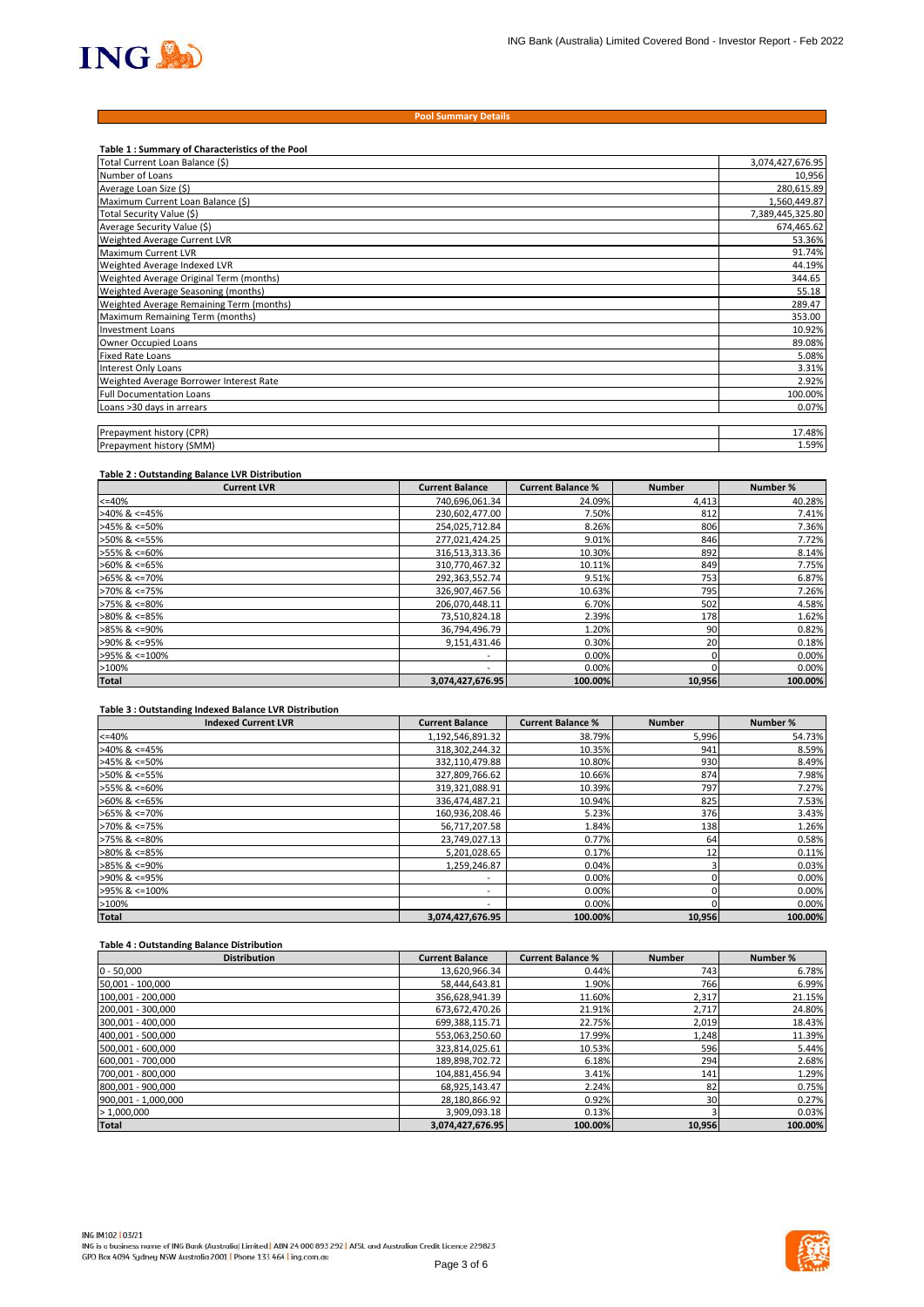

#### **Pool Summary Details**

| Table 1 : Summary of Characteristics of the Pool |                  |
|--------------------------------------------------|------------------|
| Total Current Loan Balance (\$)                  | 3,074,427,676.95 |
| Number of Loans                                  | 10,956           |
| Average Loan Size (\$)                           | 280,615.89       |
| Maximum Current Loan Balance (\$)                | 1,560,449.87     |
| Total Security Value (\$)                        | 7,389,445,325.80 |
| Average Security Value (\$)                      | 674,465.62       |
| Weighted Average Current LVR                     | 53.36%           |
| Maximum Current LVR                              | 91.74%           |
| Weighted Average Indexed LVR                     | 44.19%           |
| Weighted Average Original Term (months)          | 344.65           |
| Weighted Average Seasoning (months)              | 55.18            |
| Weighted Average Remaining Term (months)         | 289.47           |
| Maximum Remaining Term (months)                  | 353.00           |
| <b>Investment Loans</b>                          | 10.92%           |
| Owner Occupied Loans                             | 89.08%           |
| <b>Fixed Rate Loans</b>                          | 5.08%            |
| Interest Only Loans                              | 3.31%            |
| Weighted Average Borrower Interest Rate          | 2.92%            |
| <b>Full Documentation Loans</b>                  | 100.00%          |
| Loans >30 days in arrears                        | 0.07%            |
|                                                  |                  |
| Prepayment history (CPR)                         | 17.48%           |
| Prepayment history (SMM)                         | 1.59%            |

### **Table 2 : Outstanding Balance LVR Distribution**

| <b>Current LVR</b>    | <b>Current Balance</b>   | <b>Current Balance %</b> | <b>Number</b> | Number % |
|-----------------------|--------------------------|--------------------------|---------------|----------|
| $<=40%$               | 740,696,061.34           | 24.09%                   | 4,413         | 40.28%   |
| $>40\%$ & <=45%       | 230,602,477.00           | 7.50%                    | 812           | 7.41%    |
| $>45\%$ & <=50%       | 254,025,712.84           | 8.26%                    | 806           | 7.36%    |
| >50% & <=55%          | 277,021,424.25           | 9.01%                    | 846           | 7.72%    |
| >55% & <=60%          | 316,513,313.36           | 10.30%                   | 892           | 8.14%    |
| $>60\%$ & <=65%       | 310,770,467.32           | 10.11%                   | 849           | 7.75%    |
| $>65\%$ & $\leq$ 70%  | 292,363,552.74           | 9.51%                    | 753           | 6.87%    |
| $>70\%$ & $\leq 75\%$ | 326,907,467.56           | 10.63%                   | 795           | 7.26%    |
| $>75\%$ & $\leq 80\%$ | 206,070,448.11           | 6.70%                    | 502           | 4.58%    |
| $>80\%$ & <=85%       | 73,510,824.18            | 2.39%                    | 178           | 1.62%    |
| $>85\%$ & <=90%       | 36,794,496.79            | 1.20%                    | 90            | 0.82%    |
| >90% & <=95%          | 9,151,431.46             | 0.30%                    | 20            | 0.18%    |
| >95% & <=100%         | $\overline{\phantom{a}}$ | 0.00%                    |               | 0.00%    |
| >100%                 | $\overline{\phantom{a}}$ | 0.00%                    |               | 0.00%    |
| <b>Total</b>          | 3,074,427,676.95         | 100.00%                  | 10,956        | 100.00%  |

### **Table 3 : Outstanding Indexed Balance LVR Distribution**

| <b>Indexed Current LVR</b> | <b>Current Balance</b>   | <b>Current Balance %</b> | <b>Number</b> | Number % |
|----------------------------|--------------------------|--------------------------|---------------|----------|
| $<=40%$                    | 1,192,546,891.32         | 38.79%                   | 5,996         | 54.73%   |
| $>40\%$ & <=45%            | 318,302,244.32           | 10.35%                   | 941           | 8.59%    |
| $>45\%$ & <=50%            | 332,110,479.88           | 10.80%                   | 930           | 8.49%    |
| $>50\%$ & <=55%            | 327,809,766.62           | 10.66%                   | 874           | 7.98%    |
| $>55\%$ & <=60%            | 319,321,088.91           | 10.39%                   | 797           | 7.27%    |
| $>60\%$ & <=65%            | 336,474,487.21           | 10.94%                   | 825           | 7.53%    |
| $>65\%$ & $\leq$ 70%       | 160,936,208.46           | 5.23%                    | 376           | 3.43%    |
| $>70\%$ & <=75%            | 56,717,207.58            | 1.84%                    | 138           | 1.26%    |
| $>75\%$ & <=80%            | 23,749,027.13            | 0.77%                    | 64            | 0.58%    |
| $>80\%$ & <=85%            | 5,201,028.65             | 0.17%                    | 12            | 0.11%    |
| $>85\%$ & <=90%            | 1,259,246.87             | 0.04%                    |               | 0.03%    |
| >90% & <=95%               | ۰                        | 0.00%                    |               | 0.00%    |
| $>95\%$ & $\leq 100\%$     | $\overline{\phantom{a}}$ | 0.00%                    |               | 0.00%    |
| >100%                      | ۰                        | 0.00%                    |               | 0.00%    |
| <b>Total</b>               | 3,074,427,676.95         | 100.00%                  | 10.956        | 100.00%  |

## **Table 4 : Outstanding Balance Distribution**

| <b>Distribution</b> | <b>Current Balance</b> | <b>Current Balance %</b> | <b>Number</b> | Number % |
|---------------------|------------------------|--------------------------|---------------|----------|
| $0 - 50,000$        | 13,620,966.34          | 0.44%                    | 743           | 6.78%    |
| 50,001 - 100,000    | 58,444,643.81          | 1.90%                    | 766           | 6.99%    |
| 100,001 - 200,000   | 356,628,941.39         | 11.60%                   | 2,317         | 21.15%   |
| 200,001 - 300,000   | 673,672,470.26         | 21.91%                   | 2,717         | 24.80%   |
| 300,001 - 400,000   | 699,388,115.71         | 22.75%                   | 2,019         | 18.43%   |
| 400,001 - 500,000   | 553,063,250.60         | 17.99%                   | 1,248         | 11.39%   |
| 500,001 - 600,000   | 323,814,025.61         | 10.53%                   | 596           | 5.44%    |
| 600,001 - 700,000   | 189,898,702.72         | 6.18%                    | 294           | 2.68%    |
| 700,001 - 800,000   | 104,881,456.94         | 3.41%                    | 141           | 1.29%    |
| 800,001 - 900,000   | 68,925,143.47          | 2.24%                    | 82            | 0.75%    |
| 900,001 - 1,000,000 | 28,180,866.92          | 0.92%                    | 30            | 0.27%    |
| > 1,000,000         | 3,909,093.18           | 0.13%                    |               | 0.03%    |
| <b>Total</b>        | 3,074,427,676.95       | 100.00%                  | 10,956        | 100.00%  |

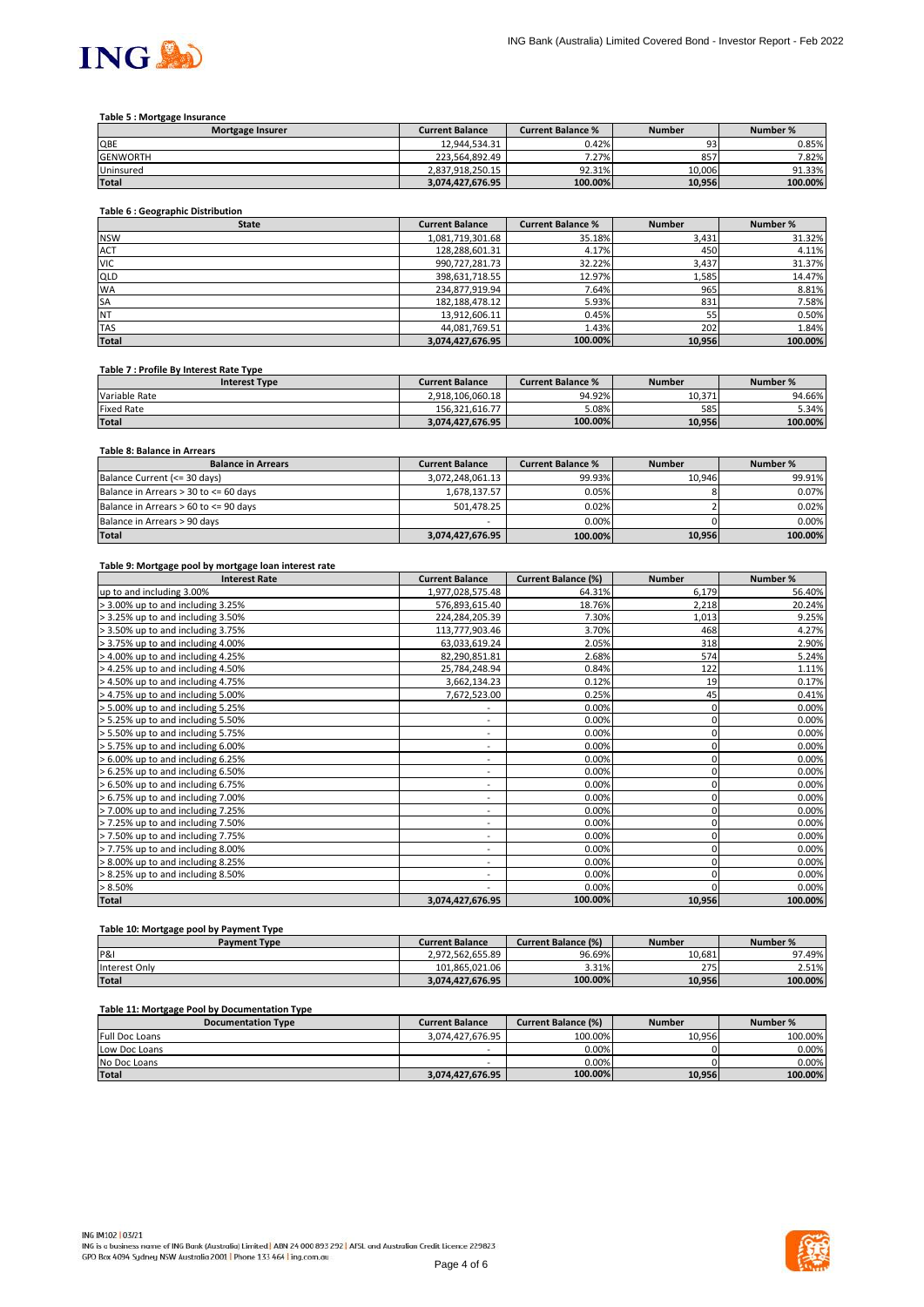

#### **Table 5 : Mortgage Insurance**

| <b>Mortgage Insurer</b> | <b>Current Balance</b> | <b>Current Balance %</b> | <b>Number</b> | Number % |
|-------------------------|------------------------|--------------------------|---------------|----------|
| QBE                     | 12.944.534.31          | 0.42%                    | 93            | 0.85%    |
| <b>GENWORTH</b>         | 223.564.892.49         | 7.27%                    | 857           | 7.82%    |
| Uninsured               | 2.837.918.250.15       | 92.31%                   | 10.006        | 91.33%   |
| <b>Total</b>            | 3.074.427.676.95       | 100.00%                  | 10.956        | 100.00%  |

## **Table 6 : Geographic Distribution**

| <b>State</b> | <b>Current Balance</b> | <b>Current Balance %</b> | <b>Number</b> | Number % |
|--------------|------------------------|--------------------------|---------------|----------|
| <b>NSW</b>   | 1,081,719,301.68       | 35.18%                   | 3,431         | 31.32%   |
| <b>ACT</b>   | 128,288,601.31         | 4.17%                    | 450           | 4.11%    |
| <b>VIC</b>   | 990,727,281.73         | 32.22%                   | 3,437         | 31.37%   |
| QLD          | 398,631,718.55         | 12.97%                   | 1,585         | 14.47%   |
| <b>WA</b>    | 234,877,919.94         | 7.64%                    | 965           | 8.81%    |
| <b>SA</b>    | 182, 188, 478. 12      | 5.93%                    | 831           | 7.58%    |
| <b>NT</b>    | 13,912,606.11          | 0.45%                    | 55            | 0.50%    |
| <b>TAS</b>   | 44,081,769.51          | 1.43%                    | 202           | 1.84%    |
| <b>Total</b> | 3,074,427,676.95       | 100.00%                  | 10,956        | 100.00%  |

#### **Table 7 : Profile By Interest Rate Type**

| <b>Interest Type</b> | <b>Current Balance</b> | <b>Current Balance %</b> | <b>Number</b> | Number % |
|----------------------|------------------------|--------------------------|---------------|----------|
| Variable Rate        | 2.918.106.060.18       | 94.92%                   | 10.371        | 94.66%   |
| <b>Fixed Rate</b>    | 156.321.616.77         | 5.08%                    | 585           | 5.34%    |
| <b>Total</b>         | 3.074.427.676.95       | 100.00%                  | 10.956        | 100.00%  |

# **Table 8: Balance in Arrears**

| <b>Balance in Arrears</b>             | <b>Current Balance</b> | <b>Current Balance %</b> | <b>Number</b> | Number % |
|---------------------------------------|------------------------|--------------------------|---------------|----------|
| Balance Current (<= 30 days)          | 3,072,248,061.13       | 99.93%                   | 10.946        | 99.91%   |
| Balance in Arrears > 30 to <= 60 days | 1.678.137.57           | 0.05%                    |               | 0.07%    |
| Balance in Arrears > 60 to <= 90 days | 501.478.25             | 0.02%                    |               | 0.02%    |
| Balance in Arrears > 90 days          | -                      | 0.00%                    |               | 0.00%    |
| <b>Total</b>                          | 3,074,427,676.95       | 100.00%                  | 10,956        | 100.00%  |

#### **Table 9: Mortgage pool by mortgage loan interest rate**

| <b>Interest Rate</b>              | <b>Current Balance</b>       | <b>Current Balance (%)</b> | <b>Number</b> | Number % |
|-----------------------------------|------------------------------|----------------------------|---------------|----------|
| up to and including 3.00%         | 1,977,028,575.48             | 64.31%                     | 6,179         | 56.40%   |
| > 3.00% up to and including 3.25% | 576,893,615.40               | 18.76%                     | 2,218         | 20.24%   |
| > 3.25% up to and including 3.50% | 224,284,205.39               | 7.30%                      | 1,013         | 9.25%    |
| > 3.50% up to and including 3.75% | 113,777,903.46               | 3.70%                      | 468           | 4.27%    |
| > 3.75% up to and including 4.00% | 63,033,619.24                | 2.05%                      | 318           | 2.90%    |
| > 4.00% up to and including 4.25% | 82,290,851.81                | 2.68%                      | 574           | 5.24%    |
| > 4.25% up to and including 4.50% | 25,784,248.94                | 0.84%                      | 122           | 1.11%    |
| > 4.50% up to and including 4.75% | 3,662,134.23                 | 0.12%                      | 19            | 0.17%    |
| > 4.75% up to and including 5.00% | 7,672,523.00                 | 0.25%                      | 45            | 0.41%    |
| > 5.00% up to and including 5.25% | ٠                            | 0.00%                      | 0             | 0.00%    |
| > 5.25% up to and including 5.50% | $\overline{\phantom{a}}$     | 0.00%                      | 0             | 0.00%    |
| > 5.50% up to and including 5.75% | $\qquad \qquad \blacksquare$ | 0.00%                      | 0             | 0.00%    |
| > 5.75% up to and including 6.00% | ۰                            | 0.00%                      | 0             | 0.00%    |
| > 6.00% up to and including 6.25% | ۰                            | 0.00%                      | 0             | 0.00%    |
| > 6.25% up to and including 6.50% | ۰                            | 0.00%                      |               | 0.00%    |
| > 6.50% up to and including 6.75% | $\overline{\phantom{0}}$     | 0.00%                      |               | 0.00%    |
| > 6.75% up to and including 7.00% | $\overline{\phantom{a}}$     | 0.00%                      |               | 0.00%    |
| > 7.00% up to and including 7.25% | ٠.                           | 0.00%                      | 0             | 0.00%    |
| > 7.25% up to and including 7.50% | ۰                            | 0.00%                      | 0             | 0.00%    |
| > 7.50% up to and including 7.75% | $\qquad \qquad \blacksquare$ | 0.00%                      | 0             | 0.00%    |
| > 7.75% up to and including 8.00% | ۰                            | 0.00%                      | 0             | 0.00%    |
| > 8.00% up to and including 8.25% | $\sim$                       | 0.00%                      |               | 0.00%    |
| > 8.25% up to and including 8.50% | ٠                            | 0.00%                      |               | 0.00%    |
| > 8.50%                           | ۰                            | 0.00%                      |               | 0.00%    |
| Total                             | 3,074,427,676.95             | 100.00%                    | 10,956        | 100.00%  |

# **Table 10: Mortgage pool by Payment Type**

| <b>Payment Type</b> | <b>Current Balance</b> | <b>Current Balance (%)</b> | <b>Number</b> | Number % |
|---------------------|------------------------|----------------------------|---------------|----------|
| P&I                 | 2.972.562.655.89       | 96.69%                     | 10.681        | 97.49%   |
| Interest Only       | 101.865.021.06         | 3.31%                      | 275           | 2.51%    |
| <b>Total</b>        | 3.074.427.676.95       | 100.00%                    | 10.956        | 100.00%  |

## **Table 11: Mortgage Pool by Documentation Type**

| <b>Documentation Type</b> | <b>Current Balance</b> | <b>Current Balance (%)</b> | <b>Number</b> | Number % |
|---------------------------|------------------------|----------------------------|---------------|----------|
| <b>Full Doc Loans</b>     | 3.074.427.676.95       | 100.00%                    | 10.956        | 100.00%  |
| Low Doc Loans             |                        | 0.00%                      |               | 0.00%    |
| No Doc Loans              | -                      | 0.00%                      |               | 0.00%    |
| <b>Total</b>              | 3.074.427.676.95       | 100.00%                    | 10,956        | 100.00%  |

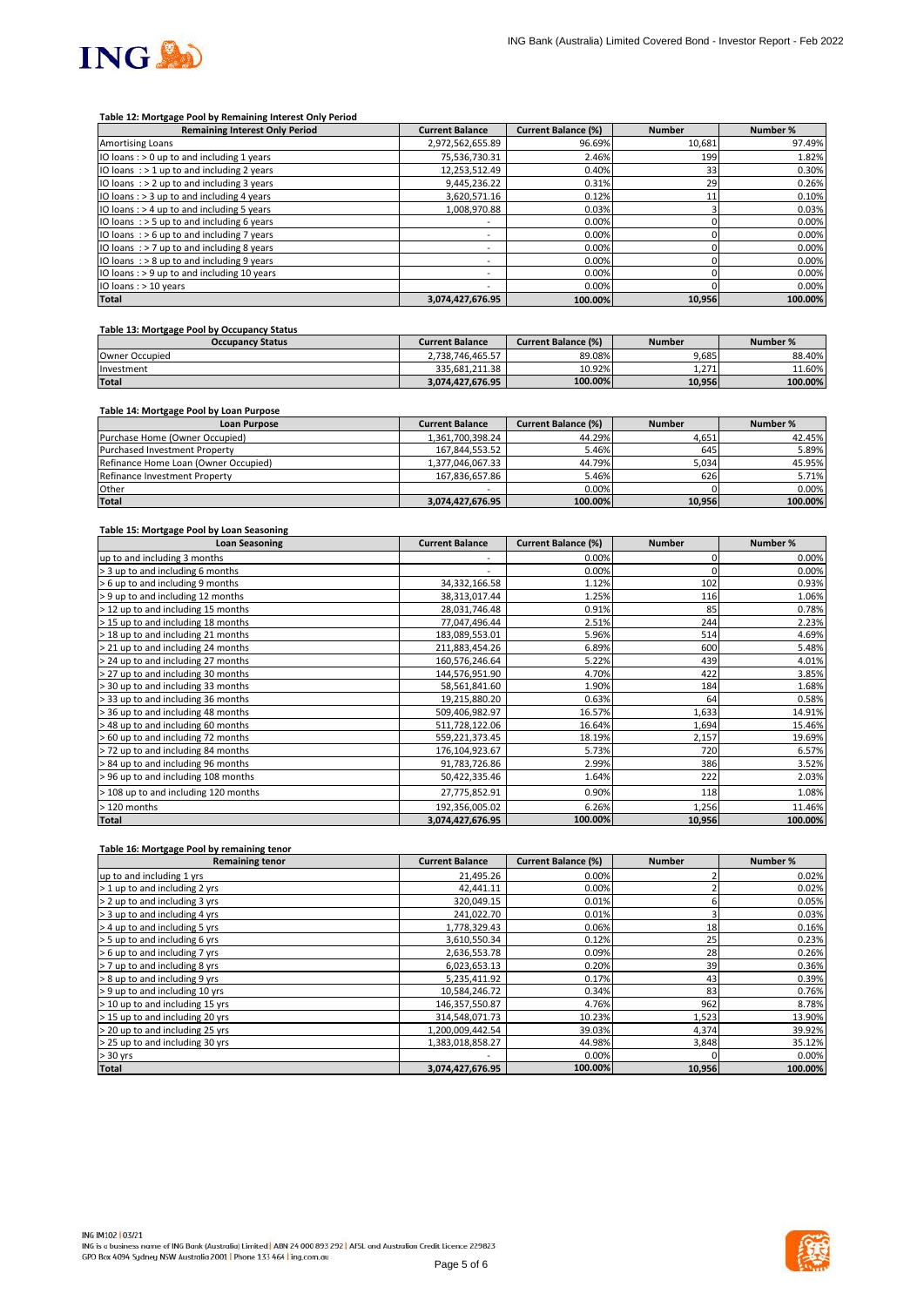

### **Table 12: Mortgage Pool by Remaining Interest Only Period**

| <b>Remaining Interest Only Period</b>        | <b>Current Balance</b>   | <b>Current Balance (%)</b> | <b>Number</b> | Number % |
|----------------------------------------------|--------------------------|----------------------------|---------------|----------|
| <b>Amortising Loans</b>                      | 2,972,562,655.89         | 96.69%                     | 10,681        | 97.49%   |
| IO loans: $> 0$ up to and including 1 years  | 75,536,730.31            | 2.46%                      | 199           | 1.82%    |
| IO loans : > 1 up to and including 2 years   | 12.253.512.49            | 0.40%                      | 33            | 0.30%    |
| IO loans $:$ > 2 up to and including 3 years | 9,445,236.22             | 0.31%                      | 29            | 0.26%    |
| IO loans: > 3 up to and including 4 years    | 3,620,571.16             | 0.12%                      |               | 0.10%    |
| IO loans : > 4 up to and including 5 years   | 1.008.970.88             | 0.03%                      |               | 0.03%    |
| IO loans : > 5 up to and including 6 years   | $\overline{\phantom{a}}$ | 0.00%                      |               | 0.00%    |
| IO loans $:$ > 6 up to and including 7 years | $\overline{\phantom{a}}$ | 0.00%                      |               | 0.00%    |
| IO loans $:$ > 7 up to and including 8 years | $\overline{\phantom{a}}$ | 0.00%                      |               | 0.00%    |
| IO loans : > 8 up to and including 9 years   | ۰                        | 0.00%                      |               | 0.00%    |
| IO loans : > 9 up to and including 10 years  | $\overline{\phantom{a}}$ | 0.00%                      |               | 0.00%    |
| IO loans : > 10 years                        | ۰                        | 0.00%                      |               | 0.00%    |
| <b>Total</b>                                 | 3,074,427,676.95         | 100.00%                    | 10,956        | 100.00%  |

## **Table 13: Mortgage Pool by Occupancy Status**

| <b>Occupancy Status</b> | <b>Current Balance</b> | <b>Current Balance (%)</b> | <b>Number</b> | Number % |
|-------------------------|------------------------|----------------------------|---------------|----------|
| Owner Occupied          | 2.738.746.465.57       | 89.08%                     | 9.685         | 88.40%   |
| Investment              | 335.681.211.38         | 10.92%                     | 1.271         | 11.60%   |
| <b>Total</b>            | 3.074.427.676.95       | 100.00%                    | 10.956        | 100.00%  |

## **Table 14: Mortgage Pool by Loan Purpose**

| <b>Loan Purpose</b>                  | <b>Current Balance</b> | <b>Current Balance (%)</b> | <b>Number</b> | Number % |
|--------------------------------------|------------------------|----------------------------|---------------|----------|
| Purchase Home (Owner Occupied)       | 1,361,700,398.24       | 44.29%                     | 4,651         | 42.45%   |
| <b>Purchased Investment Property</b> | 167.844.553.52         | 5.46%                      | 645           | 5.89%    |
| Refinance Home Loan (Owner Occupied) | 1,377,046,067.33       | 44.79%                     | 5,034         | 45.95%   |
| Refinance Investment Property        | 167.836.657.86         | 5.46%                      | 626           | 5.71%    |
| Other                                | -                      | 0.00%                      |               | $0.00\%$ |
| <b>Total</b>                         | 3,074,427,676.95       | 100.00%                    | 10,956        | 100.00%  |

#### **Table 15: Mortgage Pool by Loan Seasoning**

| <b>Loan Seasoning</b>                | <b>Current Balance</b> | <b>Current Balance (%)</b> | <b>Number</b> | Number % |
|--------------------------------------|------------------------|----------------------------|---------------|----------|
| up to and including 3 months         |                        | 0.00%                      |               | 0.00%    |
| > 3 up to and including 6 months     | ۰                      | 0.00%                      |               | 0.00%    |
| > 6 up to and including 9 months     | 34,332,166.58          | 1.12%                      | 102           | 0.93%    |
| > 9 up to and including 12 months    | 38,313,017.44          | 1.25%                      | 116           | 1.06%    |
| > 12 up to and including 15 months   | 28,031,746.48          | 0.91%                      | 85            | 0.78%    |
| > 15 up to and including 18 months   | 77,047,496.44          | 2.51%                      | 244           | 2.23%    |
| > 18 up to and including 21 months   | 183,089,553.01         | 5.96%                      | 514           | 4.69%    |
| > 21 up to and including 24 months   | 211,883,454.26         | 6.89%                      | 600           | 5.48%    |
| > 24 up to and including 27 months   | 160,576,246.64         | 5.22%                      | 439           | 4.01%    |
| > 27 up to and including 30 months   | 144,576,951.90         | 4.70%                      | 422           | 3.85%    |
| > 30 up to and including 33 months   | 58,561,841.60          | 1.90%                      | 184           | 1.68%    |
| > 33 up to and including 36 months   | 19,215,880.20          | 0.63%                      | 64            | 0.58%    |
| > 36 up to and including 48 months   | 509,406,982.97         | 16.57%                     | 1,633         | 14.91%   |
| > 48 up to and including 60 months   | 511,728,122.06         | 16.64%                     | 1,694         | 15.46%   |
| > 60 up to and including 72 months   | 559,221,373.45         | 18.19%                     | 2,157         | 19.69%   |
| > 72 up to and including 84 months   | 176,104,923.67         | 5.73%                      | 720           | 6.57%    |
| > 84 up to and including 96 months   | 91,783,726.86          | 2.99%                      | 386           | 3.52%    |
| > 96 up to and including 108 months  | 50,422,335.46          | 1.64%                      | 222           | 2.03%    |
| > 108 up to and including 120 months | 27,775,852.91          | 0.90%                      | 118           | 1.08%    |
| > 120 months                         | 192,356,005.02         | 6.26%                      | 1,256         | 11.46%   |
| <b>Total</b>                         | 3,074,427,676.95       | 100.00%                    | 10,956        | 100.00%  |

#### **Table 16: Mortgage Pool by remaining tenor**

| <b>Remaining tenor</b>          | <b>Current Balance</b> | <b>Current Balance (%)</b> | <b>Number</b> | Number % |
|---------------------------------|------------------------|----------------------------|---------------|----------|
| up to and including 1 yrs       | 21,495.26              | 0.00%                      |               | 0.02%    |
| > 1 up to and including 2 yrs   | 42,441.11              | 0.00%                      |               | 0.02%    |
| > 2 up to and including 3 yrs   | 320,049.15             | 0.01%                      |               | 0.05%    |
| > 3 up to and including 4 yrs   | 241,022.70             | 0.01%                      |               | 0.03%    |
| > 4 up to and including 5 yrs   | 1,778,329.43           | 0.06%                      | 18            | 0.16%    |
| > 5 up to and including 6 yrs   | 3,610,550.34           | 0.12%                      | 25            | 0.23%    |
| > 6 up to and including 7 yrs   | 2,636,553.78           | 0.09%                      | 28            | 0.26%    |
| > 7 up to and including 8 yrs   | 6,023,653.13           | 0.20%                      | 39            | 0.36%    |
| > 8 up to and including 9 yrs   | 5,235,411.92           | 0.17%                      | 43            | 0.39%    |
| > 9 up to and including 10 yrs  | 10,584,246.72          | 0.34%                      | 83            | 0.76%    |
| > 10 up to and including 15 yrs | 146,357,550.87         | 4.76%                      | 962           | 8.78%    |
| > 15 up to and including 20 yrs | 314,548,071.73         | 10.23%                     | 1,523         | 13.90%   |
| > 20 up to and including 25 yrs | 1,200,009,442.54       | 39.03%                     | 4,374         | 39.92%   |
| > 25 up to and including 30 yrs | 1,383,018,858.27       | 44.98%                     | 3,848         | 35.12%   |
| $> 30$ yrs                      |                        | 0.00%                      |               | 0.00%    |
| <b>Total</b>                    | 3,074,427,676.95       | 100.00%                    | 10,956        | 100.00%  |